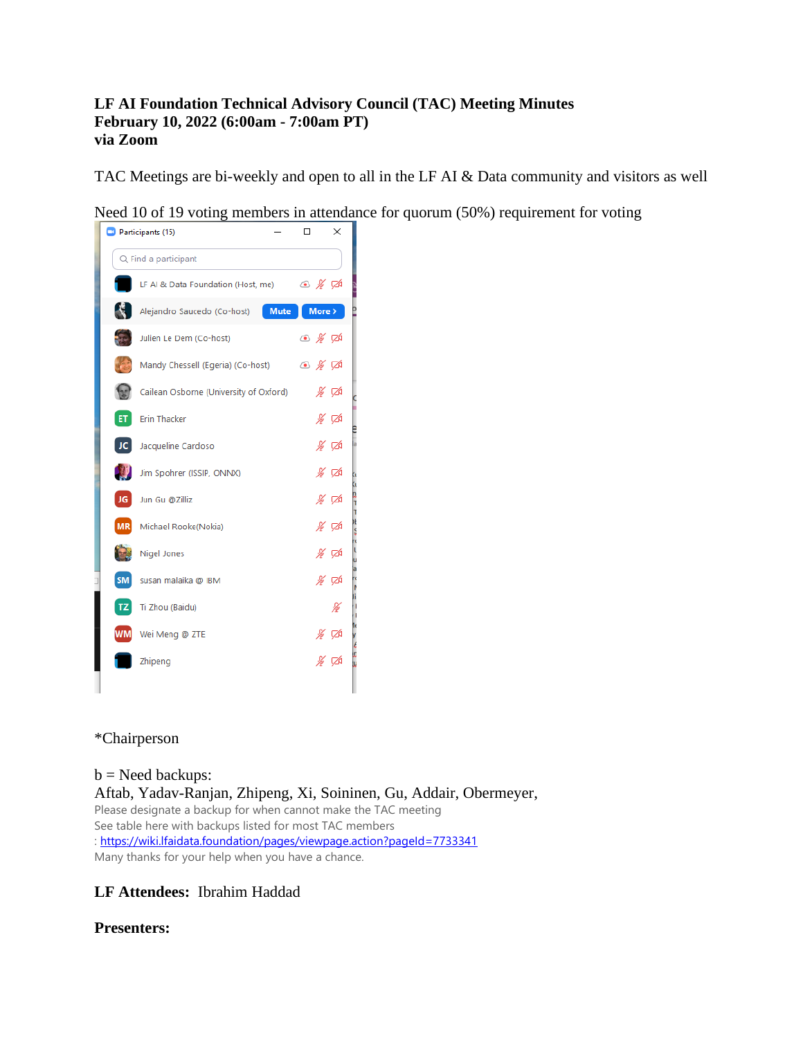#### **LF AI Foundation Technical Advisory Council (TAC) Meeting Minutes February 10, 2022 (6:00am - 7:00am PT) via Zoom**

TAC Meetings are bi-weekly and open to all in the LF AI & Data community and visitors as well

Need 10 of 19 voting members in attendance for quorum (50%) requirement for voting



# \*Chairperson

 $b$  = Need backups: Aftab, Yadav-Ranjan, Zhipeng, Xi, Soininen, Gu, Addair, Obermeyer, Please designate a backup for when cannot make the TAC meeting See table here with backups listed for most TAC members :<https://wiki.lfaidata.foundation/pages/viewpage.action?pageId=7733341> Many thanks for your help when you have a chance.

# **LF Attendees:** Ibrahim Haddad

# **Presenters:**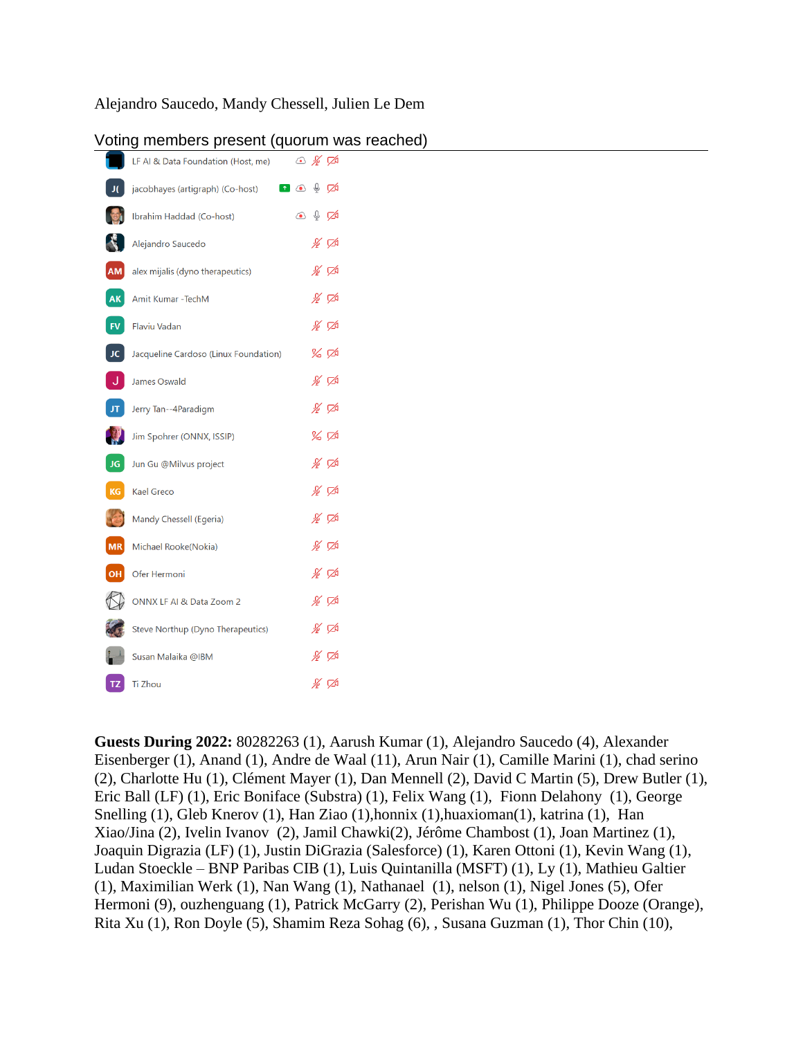### Alejandro Saucedo, Mandy Chessell, Julien Le Dem

|                          | voling members present (quorum was    |            |                                                                                                                                                                                                                                                                                                                                               |
|--------------------------|---------------------------------------|------------|-----------------------------------------------------------------------------------------------------------------------------------------------------------------------------------------------------------------------------------------------------------------------------------------------------------------------------------------------|
|                          | LF AI & Data Foundation (Host, me)    |            | $\circ$ % $\varnothing$                                                                                                                                                                                                                                                                                                                       |
| J(                       | jacobhayes (artigraph) (Co-host)      |            | $\begin{picture}(16,15) \put(0,0){\line(1,0){155}} \put(15,0){\line(1,0){155}} \put(15,0){\line(1,0){155}} \put(15,0){\line(1,0){155}} \put(15,0){\line(1,0){155}} \put(15,0){\line(1,0){155}} \put(15,0){\line(1,0){155}} \put(15,0){\line(1,0){155}} \put(15,0){\line(1,0){155}} \put(15,0){\line(1,0){155}} \put(15,0){\line(1,0){155}} \$ |
|                          | Ibrahim Haddad (Co-host)              | $\bigcirc$ | $O$ $\sqrt{2}$                                                                                                                                                                                                                                                                                                                                |
|                          | Alejandro Saucedo                     |            | $\frac{1}{\sqrt{2}}$                                                                                                                                                                                                                                                                                                                          |
| AM                       | alex mijalis (dyno therapeutics)      |            | ∦ ಗ≱                                                                                                                                                                                                                                                                                                                                          |
| AK                       | Amit Kumar - TechM                    |            | ∦ ⊄                                                                                                                                                                                                                                                                                                                                           |
| <b>FV</b>                | <b>Flaviu Vadan</b>                   |            | ∦ ⊄                                                                                                                                                                                                                                                                                                                                           |
| JC                       | Jacqueline Cardoso (Linux Foundation) |            | $\%$ $\%$                                                                                                                                                                                                                                                                                                                                     |
|                          | James Oswald                          |            | ∦ ⊄                                                                                                                                                                                                                                                                                                                                           |
| JT.                      | Jerry Tan--4Paradigm                  |            | ∦ ⊄                                                                                                                                                                                                                                                                                                                                           |
|                          | Jim Spohrer (ONNX, ISSIP)             |            | $\%~\%$                                                                                                                                                                                                                                                                                                                                       |
| JG.                      | Jun Gu @Milvus project                |            | ∦ ⊄                                                                                                                                                                                                                                                                                                                                           |
| KG                       | <b>Kael Greco</b>                     |            | ∦ ⊄                                                                                                                                                                                                                                                                                                                                           |
|                          | Mandy Chessell (Egeria)               |            | ∦ ⊄                                                                                                                                                                                                                                                                                                                                           |
| $\overline{\mathsf{MR}}$ | Michael Rooke(Nokia)                  |            | ∦ ⊄                                                                                                                                                                                                                                                                                                                                           |
| OH                       | Ofer Hermoni                          |            | ∦ ⊄                                                                                                                                                                                                                                                                                                                                           |
|                          | ONNX LF AI & Data Zoom 2              |            | ∦ ⊄                                                                                                                                                                                                                                                                                                                                           |
|                          | Steve Northup (Dyno Therapeutics)     |            | ∦ ⊄                                                                                                                                                                                                                                                                                                                                           |
|                          | Susan Malaika @IBM                    |            | ∦ ಗ∆                                                                                                                                                                                                                                                                                                                                          |
| TZ.                      | Ti Zhou                               |            | ∦ ⊄                                                                                                                                                                                                                                                                                                                                           |
|                          |                                       |            |                                                                                                                                                                                                                                                                                                                                               |

### Voting members present (quorum was reached)

**Guests During 2022:** 80282263 (1), Aarush Kumar (1), Alejandro Saucedo (4), Alexander Eisenberger (1), Anand (1), Andre de Waal (11), Arun Nair (1), Camille Marini (1), chad serino (2), Charlotte Hu (1), Clément Mayer (1), Dan Mennell (2), David C Martin (5), Drew Butler (1), Eric Ball (LF) (1), Eric Boniface (Substra) (1), Felix Wang (1), Fionn Delahony (1), George Snelling (1), Gleb Knerov (1), Han Ziao (1),honnix (1),huaxioman(1), katrina (1), Han Xiao/Jina (2), Ivelin Ivanov (2), Jamil Chawki(2), Jérôme Chambost (1), Joan Martinez (1), Joaquin Digrazia (LF) (1), Justin DiGrazia (Salesforce) (1), Karen Ottoni (1), Kevin Wang (1), Ludan Stoeckle – BNP Paribas CIB (1), Luis Quintanilla (MSFT) (1), Ly (1), Mathieu Galtier (1), Maximilian Werk (1), Nan Wang (1), Nathanael (1), nelson (1), Nigel Jones (5), Ofer Hermoni (9), ouzhenguang (1), Patrick McGarry (2), Perishan Wu (1), Philippe Dooze (Orange), Rita Xu (1), Ron Doyle (5), Shamim Reza Sohag (6), , Susana Guzman (1), Thor Chin (10),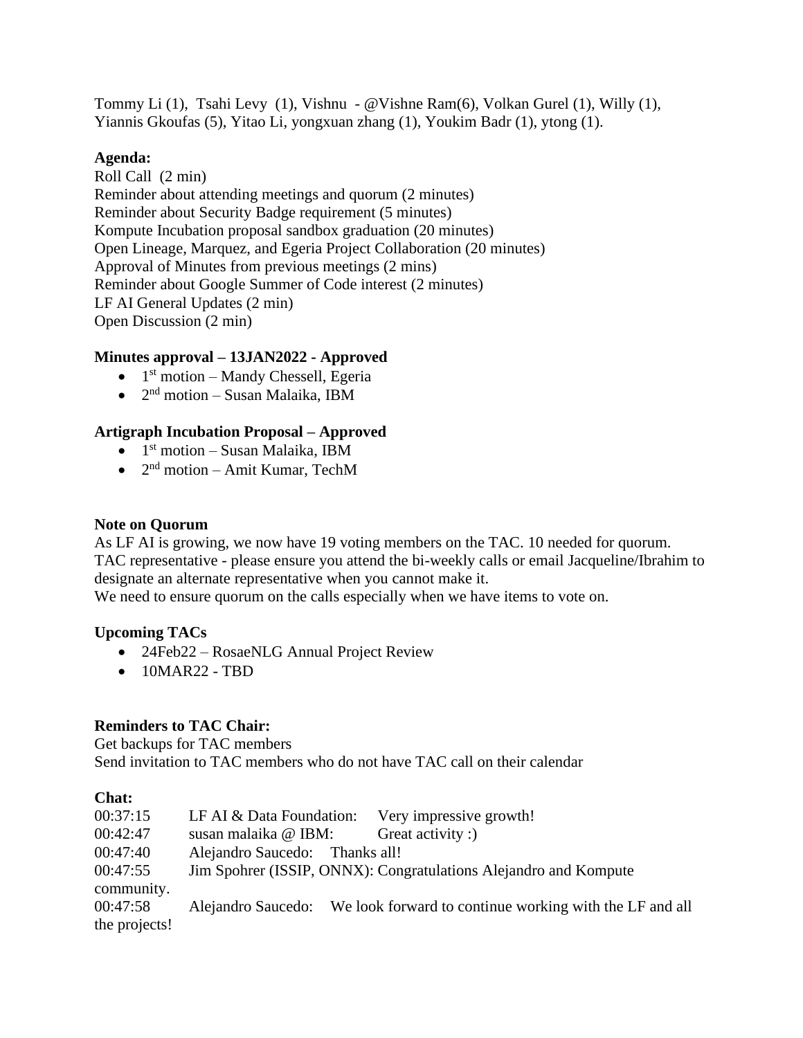Tommy Li (1), Tsahi Levy (1), Vishnu - @Vishne Ram(6), Volkan Gurel (1), Willy (1), Yiannis Gkoufas (5), Yitao Li, yongxuan zhang (1), Youkim Badr (1), ytong (1).

#### **Agenda:**

Roll Call (2 min) Reminder about attending meetings and quorum (2 minutes) Reminder about Security Badge requirement (5 minutes) Kompute Incubation proposal sandbox graduation (20 minutes) Open Lineage, Marquez, and Egeria Project Collaboration (20 minutes) Approval of Minutes from previous meetings (2 mins) Reminder about Google Summer of Code interest (2 minutes) LF AI General Updates (2 min) Open Discussion (2 min)

### **Minutes approval – 13JAN2022 - Approved**

- $\bullet$  1<sup>st</sup> motion Mandy Chessell, Egeria
- $\bullet$  2<sup>nd</sup> motion Susan Malaika, IBM

### **Artigraph Incubation Proposal – Approved**

- $\bullet$  1<sup>st</sup> motion Susan Malaika, IBM
- $\bullet$  2<sup>nd</sup> motion Amit Kumar, TechM

#### **Note on Quorum**

As LF AI is growing, we now have 19 voting members on the TAC. 10 needed for quorum. TAC representative - please ensure you attend the bi-weekly calls or email Jacqueline/Ibrahim to designate an alternate representative when you cannot make it.

We need to ensure quorum on the calls especially when we have items to vote on.

### **Upcoming TACs**

- 24Feb22 RosaeNLG Annual Project Review
- $\bullet$  10MAR22 TBD

### **Reminders to TAC Chair:**

Get backups for TAC members Send invitation to TAC members who do not have TAC call on their calendar

### **Chat:**

| 00:37:15      | LF AI $&$ Data Foundation:                                       | Very impressive growth!                                                    |  |
|---------------|------------------------------------------------------------------|----------------------------------------------------------------------------|--|
| 00:42:47      | susan malaika @ IBM:                                             | Great activity :)                                                          |  |
| 00:47:40      | Alejandro Saucedo: Thanks all!                                   |                                                                            |  |
| 00:47:55      | Jim Spohrer (ISSIP, ONNX): Congratulations Alejandro and Kompute |                                                                            |  |
| community.    |                                                                  |                                                                            |  |
| 00:47:58      |                                                                  | Alejandro Saucedo: We look forward to continue working with the LF and all |  |
| the projects! |                                                                  |                                                                            |  |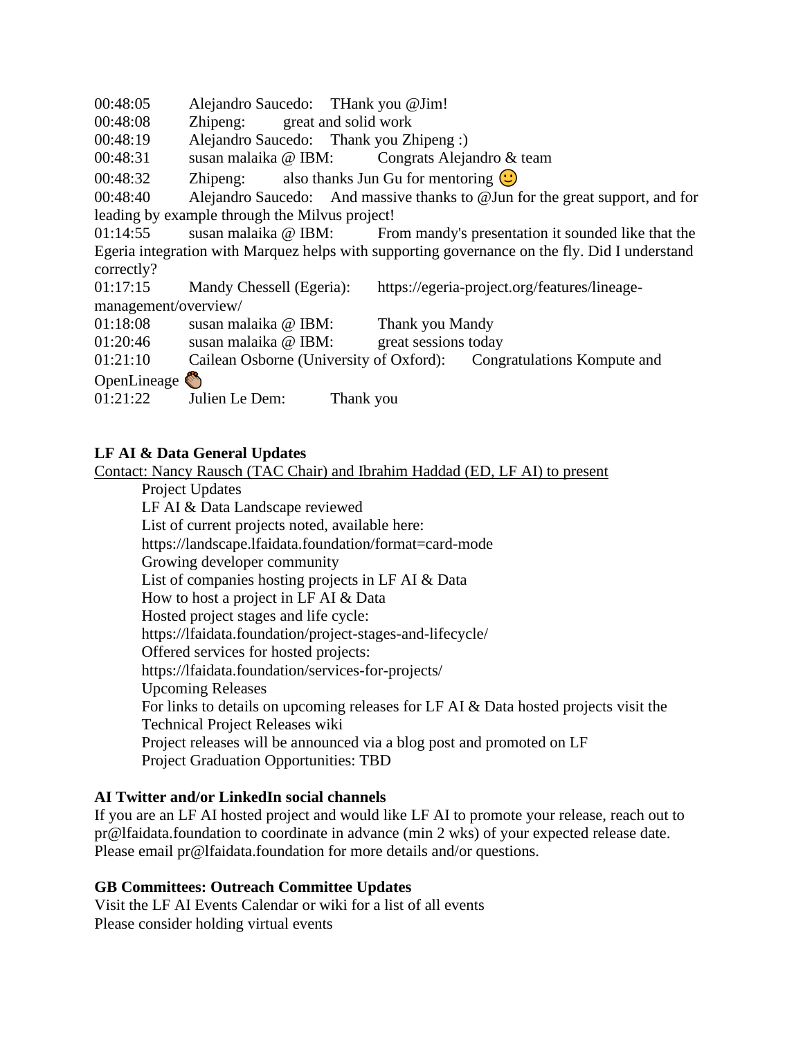00:48:05 Alejandro Saucedo: THank you @Jim!

00:48:08 Zhipeng: great and solid work

00:48:19 Alejandro Saucedo: Thank you Zhipeng :)

00:48:31 susan malaika @ IBM: Congrats Alejandro & team

00:48:32 Zhipeng: also thanks Jun Gu for mentoring  $\circ$ 

00:48:40 Alejandro Saucedo: And massive thanks to @Jun for the great support, and for leading by example through the Milvus project!

01:14:55 susan malaika @ IBM: From mandy's presentation it sounded like that the Egeria integration with Marquez helps with supporting governance on the fly. Did I understand correctly?

01:17:15 Mandy Chessell (Egeria): https://egeria-project.org/features/lineagemanagement/overview/

01:18:08 susan malaika @ IBM: Thank you Mandy

01:20:46 susan malaika @ IBM: great sessions today

01:21:10 Cailean Osborne (University of Oxford): Congratulations Kompute and

OpenLineage

01:21:22 Julien Le Dem: Thank you

### **LF AI & Data General Updates**

Contact: Nancy Rausch (TAC Chair) and Ibrahim Haddad (ED, LF AI) to present

Project Updates

LF AI & Data Landscape reviewed

List of current projects noted, available here:

https://landscape.lfaidata.foundation/format=card-mode

Growing developer community

List of companies hosting projects in LF AI & Data

How to host a project in LF AI & Data

Hosted project stages and life cycle:

https://lfaidata.foundation/project-stages-and-lifecycle/

Offered services for hosted projects:

https://lfaidata.foundation/services-for-projects/

Upcoming Releases

For links to details on upcoming releases for LF AI & Data hosted projects visit the Technical Project Releases wiki Project releases will be announced via a blog post and promoted on LF

Project Graduation Opportunities: TBD

### **AI Twitter and/or LinkedIn social channels**

If you are an LF AI hosted project and would like LF AI to promote your release, reach out to pr@lfaidata.foundation to coordinate in advance (min 2 wks) of your expected release date. Please email pr@lfaidata.foundation for more details and/or questions.

### **GB Committees: Outreach Committee Updates**

Visit the LF AI Events Calendar or wiki for a list of all events Please consider holding virtual events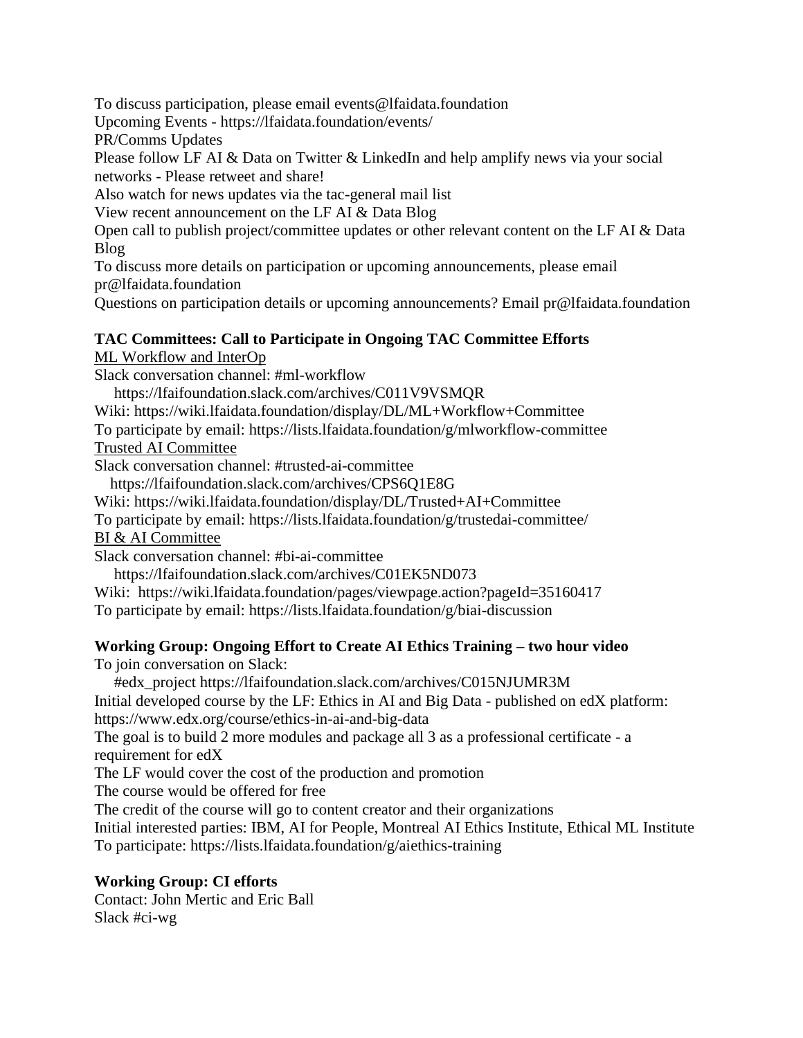To discuss participation, please email events@lfaidata.foundation

Upcoming Events - https://lfaidata.foundation/events/

PR/Comms Updates

Please follow LF AI & Data on Twitter & LinkedIn and help amplify news via your social networks - Please retweet and share!

Also watch for news updates via the tac-general mail list

View recent announcement on the LF AI & Data Blog

Open call to publish project/committee updates or other relevant content on the LF AI & Data Blog

To discuss more details on participation or upcoming announcements, please email pr@lfaidata.foundation

Questions on participation details or upcoming announcements? Email pr@lfaidata.foundation

#### **TAC Committees: Call to Participate in Ongoing TAC Committee Efforts**  ML Workflow and InterOp

Slack conversation channel: #ml-workflow

https://lfaifoundation.slack.com/archives/C011V9VSMQR

Wiki: https://wiki.lfaidata.foundation/display/DL/ML+Workflow+Committee

To participate by email: https://lists.lfaidata.foundation/g/mlworkflow-committee

Trusted AI Committee

Slack conversation channel: #trusted-ai-committee

https://lfaifoundation.slack.com/archives/CPS6Q1E8G

Wiki: https://wiki.lfaidata.foundation/display/DL/Trusted+AI+Committee

To participate by email: https://lists.lfaidata.foundation/g/trustedai-committee/

BI & AI Committee

Slack conversation channel: #bi-ai-committee

https://lfaifoundation.slack.com/archives/C01EK5ND073

Wiki: https://wiki.lfaidata.foundation/pages/viewpage.action?pageId=35160417

To participate by email: https://lists.lfaidata.foundation/g/biai-discussion

# **Working Group: Ongoing Effort to Create AI Ethics Training – two hour video**

To join conversation on Slack:

#edx\_project https://lfaifoundation.slack.com/archives/C015NJUMR3M

Initial developed course by the LF: Ethics in AI and Big Data - published on edX platform: https://www.edx.org/course/ethics-in-ai-and-big-data

The goal is to build 2 more modules and package all 3 as a professional certificate - a requirement for edX

The LF would cover the cost of the production and promotion

The course would be offered for free

The credit of the course will go to content creator and their organizations

Initial interested parties: IBM, AI for People, Montreal AI Ethics Institute, Ethical ML Institute To participate: https://lists.lfaidata.foundation/g/aiethics-training

# **Working Group: CI efforts**

Contact: John Mertic and Eric Ball Slack #ci-wg